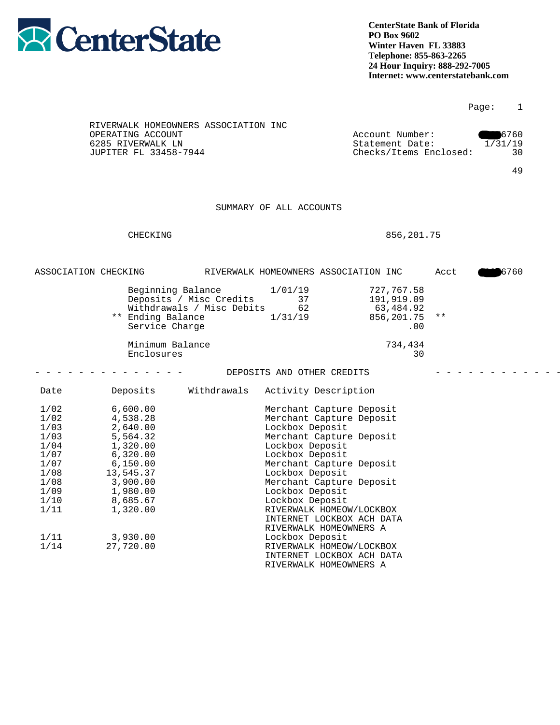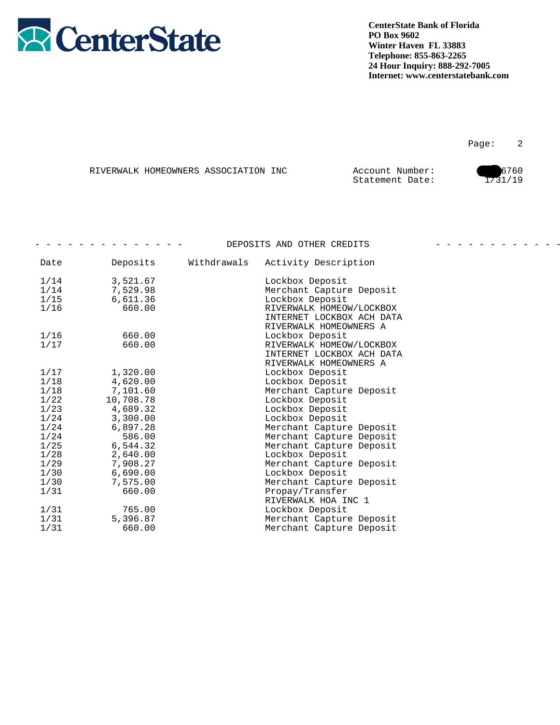

Page: 2

|  | RIVERWALK HOMEOWNERS ASSOCIATION INC | Account Number: | 6760    |
|--|--------------------------------------|-----------------|---------|
|  |                                      | Statement Date: | .731/19 |

|      |           |             | DEPOSITS AND OTHER CREDITS |  |
|------|-----------|-------------|----------------------------|--|
| Date | Deposits  | Withdrawals | Activity Description       |  |
| 1/14 | 3,521.67  |             | Lockbox Deposit            |  |
| 1/14 | 7,529.98  |             | Merchant Capture Deposit   |  |
| 1/15 | 6,611.36  |             | Lockbox Deposit            |  |
| 1/16 | 660.00    |             | RIVERWALK HOMEOW/LOCKBOX   |  |
|      |           |             | INTERNET LOCKBOX ACH DATA  |  |
|      |           |             | RIVERWALK HOMEOWNERS A     |  |
| 1/16 | 660.00    |             | Lockbox Deposit            |  |
| 1/17 | 660.00    |             | RIVERWALK HOMEOW/LOCKBOX   |  |
|      |           |             | INTERNET LOCKBOX ACH DATA  |  |
|      |           |             | RIVERWALK HOMEOWNERS A     |  |
| 1/17 | 1,320.00  |             | Lockbox Deposit            |  |
| 1/18 | 4,620.00  |             | Lockbox Deposit            |  |
| 1/18 | 7,101.60  |             | Merchant Capture Deposit   |  |
| 1/22 | 10,708.78 |             | Lockbox Deposit            |  |
| 1/23 | 4,689.32  |             | Lockbox Deposit            |  |
| 1/24 | 3,300.00  |             | Lockbox Deposit            |  |
| 1/24 | 6,897.28  |             | Merchant Capture Deposit   |  |
| 1/24 | 586.00    |             | Merchant Capture Deposit   |  |
| 1/25 | 6,544.32  |             | Merchant Capture Deposit   |  |
| 1/28 | 2,640.00  |             | Lockbox Deposit            |  |
| 1/29 | 7,908.27  |             | Merchant Capture Deposit   |  |
| 1/30 | 6,690.00  |             | Lockbox Deposit            |  |
| 1/30 | 7,575.00  |             | Merchant Capture Deposit   |  |
| 1/31 | 660.00    |             | Propay/Transfer            |  |
|      |           |             | RIVERWALK HOA INC 1        |  |
| 1/31 | 765.00    |             | Lockbox Deposit            |  |
| 1/31 | 5,396.87  |             | Merchant Capture Deposit   |  |
| 1/31 | 660.00    |             | Merchant Capture Deposit   |  |
|      |           |             |                            |  |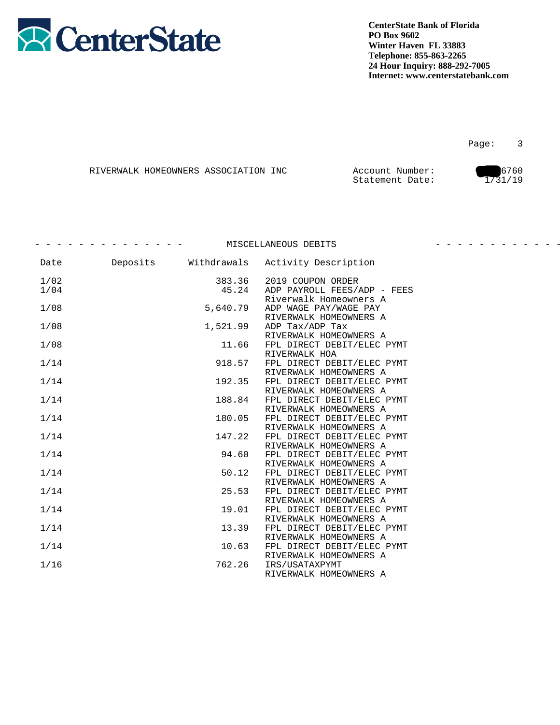

Page: 3

|  | RIVERWALK HOMEOWNERS ASSOCIATION INC | Account Number: | 6760    |
|--|--------------------------------------|-----------------|---------|
|  |                                      | Statement Date: | 1731/19 |

|      |          |             | MISCELLANEOUS DEBITS        | <u>in a a a a a </u> |
|------|----------|-------------|-----------------------------|----------------------|
| Date | Deposits | Withdrawals | Activity Description        |                      |
| 1/02 |          | 383.36      | 2019 COUPON ORDER           |                      |
| 1/04 |          | 45.24       | ADP PAYROLL FEES/ADP - FEES |                      |
|      |          |             | Riverwalk Homeowners A      |                      |
| 1/08 |          | 5,640.79    | ADP WAGE PAY/WAGE PAY       |                      |
|      |          |             | RIVERWALK HOMEOWNERS A      |                      |
| 1/08 |          | 1,521.99    | ADP Tax/ADP Tax             |                      |
|      |          |             | RIVERWALK HOMEOWNERS A      |                      |
| 1/08 |          | 11.66       | FPL DIRECT DEBIT/ELEC PYMT  |                      |
|      |          |             | RIVERWALK HOA               |                      |
| 1/14 |          | 918.57      | FPL DIRECT DEBIT/ELEC PYMT  |                      |
|      |          |             | RIVERWALK HOMEOWNERS A      |                      |
| 1/14 |          | 192.35      | FPL DIRECT DEBIT/ELEC PYMT  |                      |
|      |          |             | RIVERWALK HOMEOWNERS A      |                      |
| 1/14 |          | 188.84      | FPL DIRECT DEBIT/ELEC PYMT  |                      |
|      |          |             | RIVERWALK HOMEOWNERS A      |                      |
| 1/14 |          | 180.05      | FPL DIRECT DEBIT/ELEC PYMT  |                      |
|      |          |             | RIVERWALK HOMEOWNERS A      |                      |
| 1/14 |          | 147.22      | FPL DIRECT DEBIT/ELEC PYMT  |                      |
|      |          |             | RIVERWALK HOMEOWNERS A      |                      |
| 1/14 |          | 94.60       | FPL DIRECT DEBIT/ELEC PYMT  |                      |
|      |          |             | RIVERWALK HOMEOWNERS A      |                      |
| 1/14 |          | 50.12       | FPL DIRECT DEBIT/ELEC PYMT  |                      |
|      |          |             | RIVERWALK HOMEOWNERS A      |                      |
| 1/14 |          | 25.53       | FPL DIRECT DEBIT/ELEC PYMT  |                      |
|      |          |             | RIVERWALK HOMEOWNERS A      |                      |
| 1/14 |          | 19.01       | FPL DIRECT DEBIT/ELEC PYMT  |                      |
|      |          |             | RIVERWALK HOMEOWNERS A      |                      |
| 1/14 |          | 13.39       | FPL DIRECT DEBIT/ELEC PYMT  |                      |
|      |          |             | RIVERWALK HOMEOWNERS A      |                      |
| 1/14 |          | 10.63       | FPL DIRECT DEBIT/ELEC PYMT  |                      |
|      |          |             | RIVERWALK HOMEOWNERS A      |                      |
| 1/16 |          | 762.26      | IRS/USATAXPYMT              |                      |
|      |          |             | RIVERWALK HOMEOWNERS A      |                      |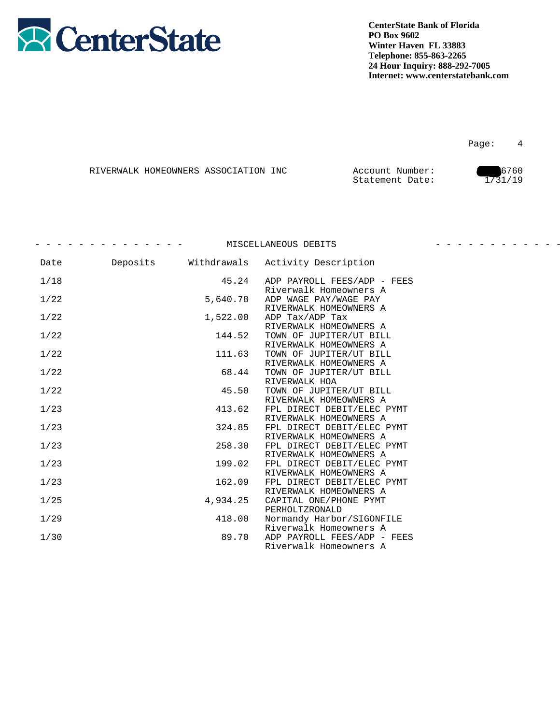

Page: 4

|  | RIVERWALK HOMEOWNERS ASSOCIATION INC | Account Number: | 6760    |
|--|--------------------------------------|-----------------|---------|
|  |                                      | Statement Date: | 1731/19 |

- - - - - - - - - - - - - - MISCELLANEOUS DEBITS - - - - - - - - - - - - -

| Date | Deposits | Withdrawals | Activity Description                                                            |
|------|----------|-------------|---------------------------------------------------------------------------------|
| 1/18 |          | 45.24       | ADP PAYROLL FEES/ADP - FEES<br>Riverwalk Homeowners A                           |
| 1/22 |          | 5,640.78    | ADP WAGE PAY/WAGE PAY<br>RIVERWALK HOMEOWNERS A                                 |
| 1/22 |          | 1,522.00    | ADP Tax/ADP Tax<br>RIVERWALK HOMEOWNERS A                                       |
| 1/22 |          | 144.52      | TOWN OF JUPITER/UT BILL<br>RIVERWALK HOMEOWNERS A                               |
| 1/22 |          | 111.63      | TOWN OF JUPITER/UT BILL                                                         |
| 1/22 |          | 68.44       | RIVERWALK HOMEOWNERS A<br>TOWN OF JUPITER/UT BILL<br>RIVERWALK HOA              |
| 1/22 |          | 45.50       | TOWN OF JUPITER/UT BILL                                                         |
| 1/23 |          | 413.62      | RIVERWALK HOMEOWNERS A<br>FPL DIRECT DEBIT/ELEC PYMT                            |
| 1/23 |          | 324.85      | RIVERWALK HOMEOWNERS A<br>FPL DIRECT DEBIT/ELEC PYMT                            |
| 1/23 |          | 258.30      | RIVERWALK HOMEOWNERS A<br>FPL DIRECT DEBIT/ELEC PYMT                            |
| 1/23 |          | 199.02      | RIVERWALK HOMEOWNERS A<br>FPL DIRECT DEBIT/ELEC PYMT                            |
| 1/23 |          | 162.09      | RIVERWALK HOMEOWNERS A<br>FPL DIRECT DEBIT/ELEC PYMT                            |
| 1/25 |          | 4,934.25    | RIVERWALK HOMEOWNERS A<br>CAPITAL ONE/PHONE PYMT                                |
| 1/29 |          | 418.00      | PERHOLTZRONALD<br>Normandy Harbor/SIGONFILE                                     |
| 1/30 |          | 89.70       | Riverwalk Homeowners A<br>ADP PAYROLL FEES/ADP - FEES<br>Riverwalk Homeowners A |